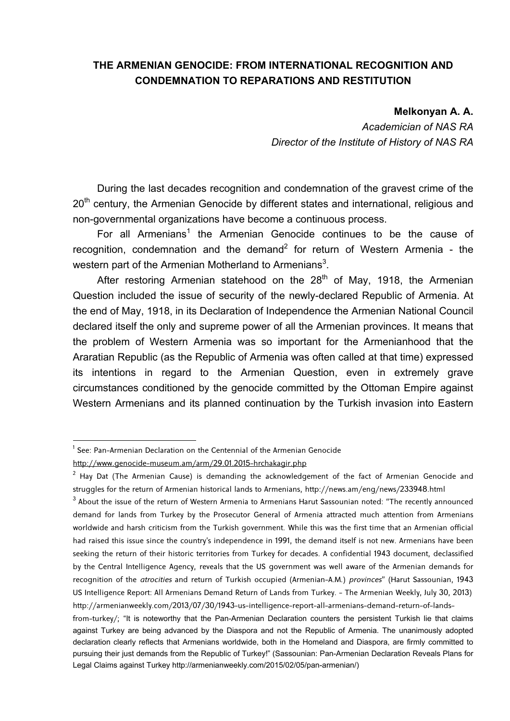## **THE ARMENIAN GENOCIDE: FROM INTERNATIONAL RECOGNITION AND CONDEMNATION TO REPARATIONS AND RESTITUTION**

## **Melkonyan A. A.**

*Academician of NAS RA Director of the Institute of History of NAS RA* 

During the last decades recognition and condemnation of the gravest crime of the 20<sup>th</sup> century, the Armenian Genocide by different states and international, religious and non-governmental organizations have become a continuous process.

For all Armenians<sup>1</sup> the Armenian Genocide continues to be the cause of recognition, condemnation and the demand<sup>2</sup> for return of Western Armenia - the western part of the Armenian Motherland to Armenians<sup>3</sup>.

After restoring Armenian statehood on the  $28<sup>th</sup>$  of May, 1918, the Armenian Question included the issue of security of the newly-declared Republic of Armenia. At the end of May, 1918, in its Declaration of Independence the Armenian National Council declared itself the only and supreme power of all the Armenian provinces. It means that the problem of Western Armenia was so important for the Armenianhood that the Araratian Republic (as the Republic of Armenia was often called at that time) expressed its intentions in regard to the Armenian Question, even in extremely grave circumstances conditioned by the genocide committed by the Ottoman Empire against Western Armenians and its planned continuation by the Turkish invasion into Eastern

<sup>&</sup>lt;sup>1</sup> See: Pan-Armenian Declaration on the Centennial of the Armenian Genocide

http://www.genocide-museum.am/arm/29.01.2015-hrchakagir.php

 $2$  Hay Dat (The Armenian Cause) is demanding the acknowledgement of the fact of Armenian Genocide and struggles for the return of Armenian historical lands to Armenians, http://news.am/eng/news/233948.html

 $^3$  About the issue of the return of Western Armenia to Armenians Harut Sassounian noted: "The recently announced demand for lands from Turkey by the Prosecutor General of Armenia attracted much attention from Armenians worldwide and harsh criticism from the Turkish government. While this was the first time that an Armenian official had raised this issue since the country's independence in 1991, the demand itself is not new. Armenians have been seeking the return of their historic territories from Turkey for decades. A confidential 1943 document, declassified by the Central Intelligence Agency, reveals that the US government was well aware of the Armenian demands for recognition of the *atrocities* and return of Turkish occupied (Armenian-A.M.) *provinces*" (Harut Sassounian, 1943 US Intelligence Report: All Armenians Demand Return of Lands from Turkey. - The Armenian Weekly, July 30, 2013) http://armenianweekly.com/2013/07/30/1943-us-intelligence-report-all-armenians-demand-return-of-lands-

from-turkey/; "It is noteworthy that the Pan-Armenian Declaration counters the persistent Turkish lie that claims against Turkey are being advanced by the Diaspora and not the Republic of Armenia. The unanimously adopted declaration clearly reflects that Armenians worldwide, both in the Homeland and Diaspora, are firmly committed to pursuing their just demands from the Republic of Turkey!" (Sassounian: Pan-Armenian Declaration Reveals Plans for Legal Claims against Turkey http://armenianweekly.com/2015/02/05/pan-armenian/)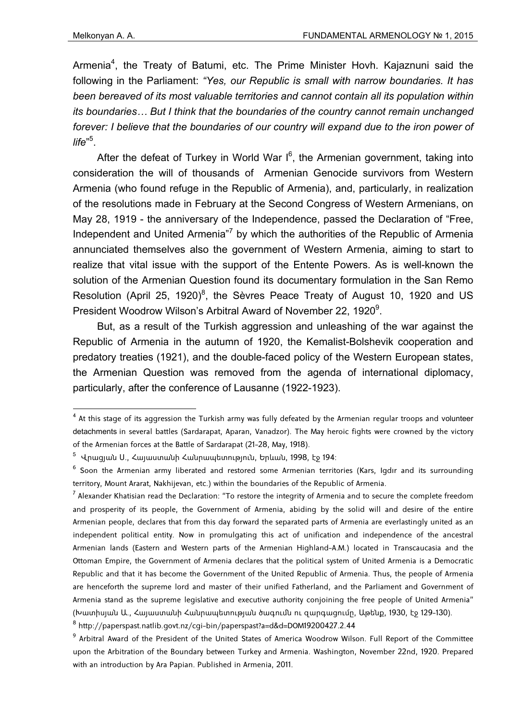Armenia<sup>4</sup>, the Treaty of Batumi, etc. The Prime Minister Hovh. Kajaznuni said the following in the Parliament: *"Yes, our Republic is small with narrow boundaries. It has been bereaved of its most valuable territories and cannot contain all its population within its boundaries… But I think that the boundaries of the country cannot remain unchanged*  forever: I believe that the boundaries of our country will expand due to the iron power of *life*" 5 .

After the defeat of Turkey in World War  $I^6$ , the Armenian government, taking into consideration the will of thousands of Armenian Genocide survivors from Western Armenia (who found refuge in the Republic of Armenia), and, particularly, in realization of the resolutions made in February at the Second Congress of Western Armenians, on May 28, 1919 - the anniversary of the Independence, passed the Declaration of "Free, Independent and United Armenia<sup>"7</sup> by which the authorities of the Republic of Armenia annunciated themselves also the government of Western Armenia, aiming to start to realize that vital issue with the support of the Entente Powers. As is well-known the solution of the Armenian Question found its documentary formulation in the San Remo Resolution (April 25, 1920)<sup>8</sup>, the Sèvres Peace Treaty of August 10, 1920 and US President Woodrow Wilson's Arbitral Award of November 22, 1920<sup>9</sup>.

But, as a result of the Turkish aggression and unleashing of the war against the Republic of Armenia in the autumn of 1920, the Kemalist-Bolshevik cooperation and predatory treaties (1921), and the double-faced policy of the Western European states, the Armenian Question was removed from the agenda of international diplomacy, particularly, after the conference of Lausanne (1922-1923).

 $^7$  Alexander Khatisian read the Declaration: "To restore the integrity of Armenia and to secure the complete freedom and prosperity of its people, the Government of Armenia, abiding by the solid will and desire of the entire Armenian people, declares that from this day forward the separated parts of Armenia are everlastingly united as an independent political entity. Now in promulgating this act of unification and independence of the ancestral Armenian lands (Eastern and Western parts of the Armenian Highland-A.M.) located in Transcaucasia and the Ottoman Empire, the Government of Armenia declares that the political system of United Armenia is a Democratic Republic and that it has become the Government of the United Republic of Armenia. Thus, the people of Armenia are henceforth the supreme lord and master of their unified Fatherland, and the Parliament and Government of Armenia stand as the supreme legislative and executive authority conjoining the free people of United Armenia" (Խատիսյան Ա., Հայաստանի Հանրապետության ծագումն ու զարգացումը, Աթենք, 1930, էջ 129-130).

 4 At this stage of its aggression the Turkish army was fully defeated by the Armenian regular troops and volunteer detachments in several battles (Sardarapat, Aparan, Vanadzor). The May heroic fights were crowned by the victory of the Armenian forces at the Battle of Sardarapat (21-28, May, 1918).

<sup>&</sup>lt;sup>5</sup> Վրացյան Ս., Հայաստանի Հանրապետություն, Երևան, 1998, էջ 194։

 $^6$  Soon the Armenian army liberated and restored some Armenian territories (Kars, Igdır and its surrounding territory, Mount Ararat, Nakhijevan, etc.) within the boundaries of the Republic of Armenia.

<sup>8</sup> http://paperspast.natlib.govt.nz/cgi-bin/paperspast?a=d&d=DOM19200427.2.44

<sup>&</sup>lt;sup>9</sup> Arbitral Award of the President of the United States of America Woodrow Wilson. Full Report of the Committee upon the Arbitration of the Boundary between Turkey and Armenia. Washington, November 22nd, 1920. Prepared with an introduction by Ara Papian. Published in Armenia, 2011.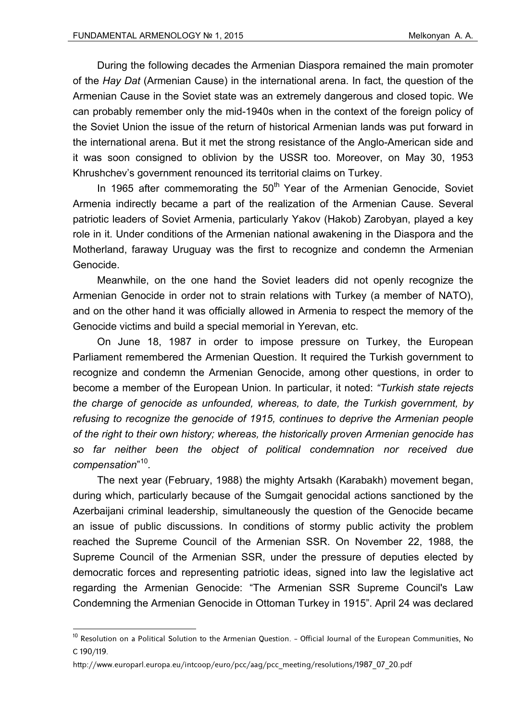During the following decades the Armenian Diaspora remained the main promoter of the *Hay Dat* (Armenian Cause) in the international arena. In fact, the question of the Armenian Cause in the Soviet state was an extremely dangerous and closed topic. We can probably remember only the mid-1940s when in the context of the foreign policy of the Soviet Union the issue of the return of historical Armenian lands was put forward in the international arena. But it met the strong resistance of the Anglo-American side and it was soon consigned to oblivion by the USSR too. Moreover, on May 30, 1953 Khrushchev's government renounced its territorial claims on Turkey.

In 1965 after commemorating the  $50<sup>th</sup>$  Year of the Armenian Genocide, Soviet Armenia indirectly became a part of the realization of the Armenian Cause. Several patriotic leaders of Soviet Armenia, particularly Yakov (Hakob) Zarobyan, played a key role in it. Under conditions of the Armenian national awakening in the Diaspora and the Motherland, faraway Uruguay was the first to recognize and condemn the Armenian Genocide.

Meanwhile, on the one hand the Soviet leaders did not openly recognize the Armenian Genocide in order not to strain relations with Turkey (а member of NATO), and on the other hand it was officially allowed in Armenia to respect the memory of the Genocide victims and build a special memorial in Yerevan, etc.

On June 18, 1987 in order to impose pressure on Turkey, the European Parliament remembered the Armenian Question. It required the Turkish government to recognize and condemn the Armenian Genocide, among other questions, in order to become a member of the European Union. In particular, it noted: *"Turkish state rejects the charge of genocide as unfounded, whereas, to date, the Turkish government, by refusing to recognize the genocide of 1915, continues to deprive the Armenian people of the right to their own history; whereas, the historically proven Armenian genocide has so far neither been the object of political condemnation nor received due compensation*" 10*.*

The next year (February, 1988) the mighty Artsakh (Karabakh) movement began, during which, particularly because of the Sumgait genocidal actions sanctioned by the Azerbaijani criminal leadership, simultaneously the question of the Genocide became an issue of public discussions. In conditions of stormy public activity the problem reached the Supreme Council of the Armenian SSR. On November 22, 1988, the Supreme Council of the Armenian SSR, under the pressure of deputies elected by democratic forces and representing patriotic ideas, signed into law the legislative act regarding the Armenian Genocide: "The Armenian SSR Supreme Council's Law Condemning the Armenian Genocide in Ottoman Turkey in 1915". April 24 was declared

 $^{\sf 10}$  Resolution on a Political Solution to the Armenian Question. – Official Journal of the European Communities, No C 190/119.

http://www.europarl.europa.eu/intcoop/euro/pcc/aag/pcc\_meeting/resolutions/1987\_07\_20.pdf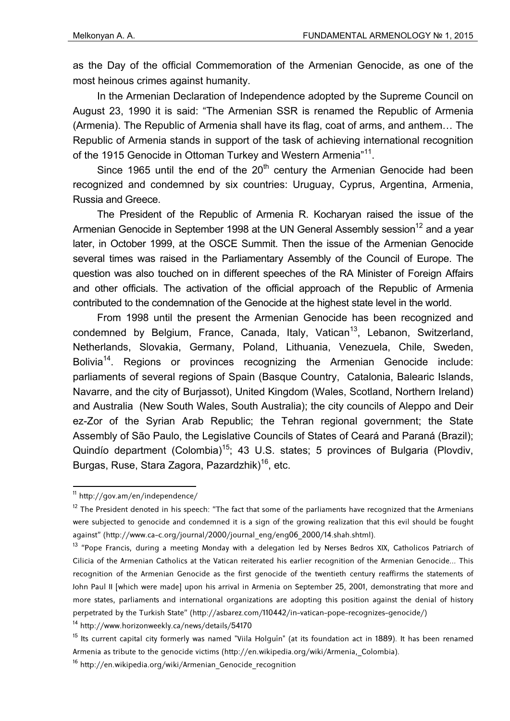as the Day of the official Commemoration of the Armenian Genocide, as one of the most heinous crimes against humanity.

In the Armenian Declaration of Independence adopted by the Supreme Council on August 23, 1990 it is said: "The Armenian SSR is renamed the Republic of Armenia (Armenia). The Republic of Armenia shall have its flag, coat of arms, and anthem… The Republic of Armenia stands in support of the task of achieving international recognition of the 1915 Genocide in Ottoman Turkey and Western Armenia<sup>"11</sup>.

Since 1965 until the end of the  $20<sup>th</sup>$  century the Armenian Genocide had been recognized and condemned by six countries: Uruguay, Cyprus, Argentina, Armenia, Russia and Greece.

The President of the Republic of Armenia R. Kocharyan raised the issue of the Armenian Genocide in September 1998 at the UN General Assembly session<sup>12</sup> and a year later, in October 1999, at the OSCE Summit. Then the issue of the Armenian Genocide several times was raised in the Parliamentary Assembly of the Council of Europe. The question was also touched on in different speeches of the RA Minister of Foreign Affairs and other officials. The activation of the official approach of the Republic of Armenia contributed to the condemnation of the Genocide at the highest state level in the world.

From 1998 until the present the Armenian Genocide has been recognized and condemned by Belgium, France, Canada, Italy, Vatican<sup>13</sup>, Lebanon, Switzerland, Netherlands, Slovakia, Germany, Poland, Lithuania, Venezuela, Chile, Sweden, Bolivia<sup>14</sup>. Regions or provinces recognizing the Armenian Genocide include: parliaments of several regions of Spain (Basque Country, Catalonia, Balearic Islands, Navarre, and the city of Burjassot), United Kingdom (Wales, Scotland, Northern Ireland) and Australia (New South Wales, South Australia); the city councils of Aleppo and Deir ez-Zor of the Syrian Arab Republic; the Tehran regional government; the State Assembly of São Paulo, the Legislative Councils of States of Ceará and Paraná (Brazil); Quindío department (Colombia)<sup>15</sup>; 43 U.S. states; 5 provinces of Bulgaria (Plovdiv, Burgas, Ruse, Stara Zagora, Pazardzhik)<sup>16</sup>, etc.

14 http://www.horizonweekly.ca/news/details/54170

 11 http://gov.am/en/independence/

 $12$  The President denoted in his speech: "The fact that some of the parliaments have recognized that the Armenians were subjected to genocide and condemned it is a sign of the growing realization that this evil should be fought against" (http://www.ca-c.org/journal/2000/journal\_eng/eng06\_2000/14.shah.shtml).

<sup>&</sup>lt;sup>13</sup> "Pope Francis, during a meeting Monday with a delegation led by Nerses Bedros XIX, Catholicos Patriarch of Cilicia of the Armenian Catholics at the Vatican reiterated his earlier recognition of the Armenian Genocide... This recognition of the Armenian Genocide as the first genocide of the twentieth century reaffirms the statements of John Paul II [which were made] upon his arrival in Armenia on September 25, 2001, demonstrating that more and more states, parliaments and international organizations are adopting this position against the denial of history perpetrated by the Turkish State" (http://asbarez.com/110442/in-vatican-pope-recognizes-genocide/)

<sup>&</sup>lt;sup>15</sup> Its current capital city formerly was named "Viila Holguín" (at its foundation act in 1889). It has been renamed Armenia as tribute to the genocide victims (http://en.wikipedia.org/wiki/Armenia,\_Colombia).

<sup>&</sup>lt;sup>16</sup> http://en.wikipedia.org/wiki/Armenian Genocide recognition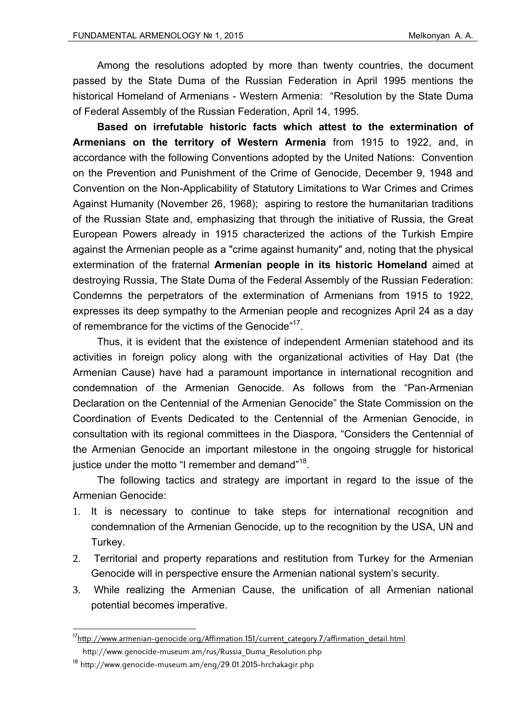Among the resolutions adopted by more than twenty countries, the document passed by the State Duma of the Russian Federation in April 1995 mentions the historical Homeland of Armenians - Western Armenia: "Resolution by the State Duma of Federal Assembly of the Russian Federation, April 14, 1995.

**Based on irrefutable historic facts which attest to the extermination of Armenians on the territory of Western Armenia** from 1915 to 1922, and, in accordance with the following Conventions adopted by the United Nations: Convention on the Prevention and Punishment of the Crime of Genocide, December 9, 1948 and Convention on the Non-Applicability of Statutory Limitations to War Crimes and Crimes Against Humanity (November 26, 1968); aspiring to restore the humanitarian traditions of the Russian State and, emphasizing that through the initiative of Russia, the Great European Powers already in 1915 characterized the actions of the Turkish Empire against the Armenian people as a "crime against humanity" and, noting that the physical extermination of the fraternal **Armenian people in its historic Homeland** aimed at destroying Russia, The State Duma of the Federal Assembly of the Russian Federation: Condemns the perpetrators of the extermination of Armenians from 1915 to 1922, expresses its deep sympathy to the Armenian people and recognizes April 24 as a day of remembrance for the victims of the Genocide"<sup>17</sup>.

Thus, it is evident that the existence of independent Armenian statehood and its activities in foreign policy along with the organizational activities of Hay Dat (the Armenian Cause) have had a paramount importance in international recognition and condemnation of the Armenian Genocide. As follows from the "Pan-Armenian Declaration on the Centennial of the Armenian Genocide" the State Commission on the Coordination of Events Dedicated to the Centennial of the Armenian Genocide, in consultation with its regional committees in the Diaspora, "Considers the Centennial of the Armenian Genocide an important milestone in the ongoing struggle for historical justice under the motto "I remember and demand"<sup>18</sup>.

The following tactics and strategy are important in regard to the issue of the Armenian Genocide:

- 1. It is necessary to continue to take steps for international recognition and condemnation of the Armenian Genocide, up to the recognition by the USA, UN and Turkey.
- 2. Territorial and property reparations and restitution from Turkey for the Armenian Genocide will in perspective ensure the Armenian national system's security.
- 3. While realizing the Armenian Cause, the unification of all Armenian national potential becomes imperative.

<sup>&</sup>lt;sup>17</sup>http://www.armenian-genocide.org/Affirmation.151/current\_category.7/affirmation\_detail.html

http://www.genocide-museum.am/rus/Russia\_Duma\_Resolution.php

<sup>18</sup> http://www.genocide-museum.am/eng/29.01.2015-hrchakagir.php